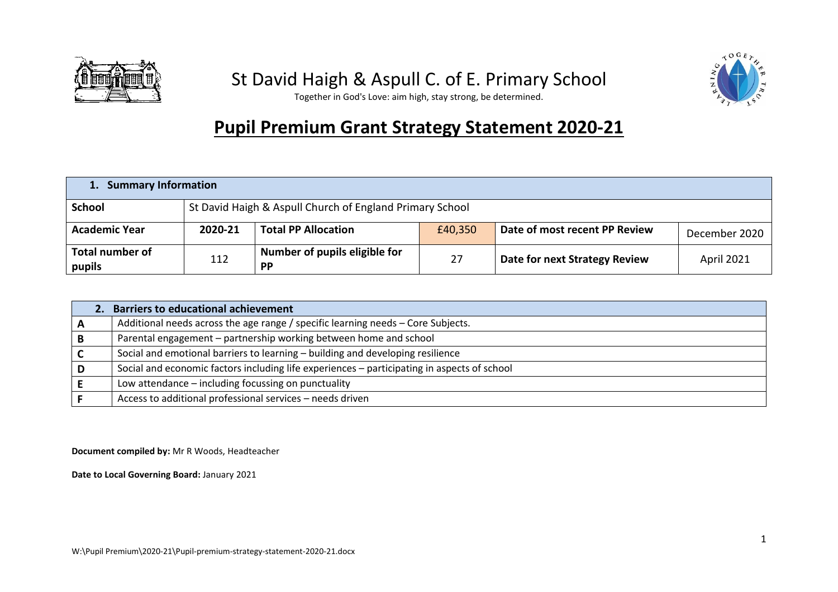

## St David Haigh & Aspull C. of E. Primary School



Together in God's Love: aim high, stay strong, be determined.

## **Pupil Premium Grant Strategy Statement 2020-21**

| <b>Summary Information</b>       |                                                          |                                            |         |                               |                   |
|----------------------------------|----------------------------------------------------------|--------------------------------------------|---------|-------------------------------|-------------------|
| <b>School</b>                    | St David Haigh & Aspull Church of England Primary School |                                            |         |                               |                   |
| <b>Academic Year</b>             | 2020-21                                                  | <b>Total PP Allocation</b>                 | £40,350 | Date of most recent PP Review | December 2020     |
| <b>Total number of</b><br>pupils | 112                                                      | Number of pupils eligible for<br><b>PP</b> | 27      | Date for next Strategy Review | <b>April 2021</b> |

| <b>Barriers to educational achievement</b>                                                  |
|---------------------------------------------------------------------------------------------|
| Additional needs across the age range / specific learning needs – Core Subjects.            |
| Parental engagement - partnership working between home and school                           |
| Social and emotional barriers to learning - building and developing resilience              |
| Social and economic factors including life experiences - participating in aspects of school |
| Low attendance - including focussing on punctuality                                         |
| Access to additional professional services - needs driven                                   |

**Document compiled by:** Mr R Woods, Headteacher

**Date to Local Governing Board:** January 2021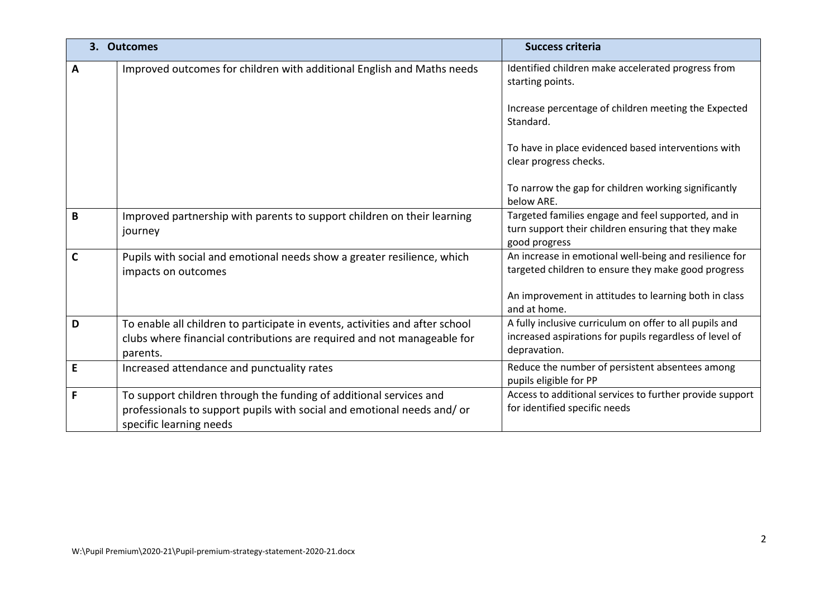|   | 3. Outcomes                                                                                                                                                             | <b>Success criteria</b>                                                                                                            |  |
|---|-------------------------------------------------------------------------------------------------------------------------------------------------------------------------|------------------------------------------------------------------------------------------------------------------------------------|--|
| A | Improved outcomes for children with additional English and Maths needs                                                                                                  | Identified children make accelerated progress from<br>starting points.                                                             |  |
|   |                                                                                                                                                                         | Increase percentage of children meeting the Expected<br>Standard.                                                                  |  |
|   |                                                                                                                                                                         | To have in place evidenced based interventions with<br>clear progress checks.                                                      |  |
|   |                                                                                                                                                                         | To narrow the gap for children working significantly<br>below ARE.                                                                 |  |
| В | Improved partnership with parents to support children on their learning<br>journey                                                                                      | Targeted families engage and feel supported, and in<br>turn support their children ensuring that they make<br>good progress        |  |
|   | Pupils with social and emotional needs show a greater resilience, which<br>impacts on outcomes                                                                          | An increase in emotional well-being and resilience for<br>targeted children to ensure they make good progress                      |  |
|   |                                                                                                                                                                         | An improvement in attitudes to learning both in class<br>and at home.                                                              |  |
| D | To enable all children to participate in events, activities and after school<br>clubs where financial contributions are required and not manageable for<br>parents.     | A fully inclusive curriculum on offer to all pupils and<br>increased aspirations for pupils regardless of level of<br>depravation. |  |
| E | Increased attendance and punctuality rates                                                                                                                              | Reduce the number of persistent absentees among<br>pupils eligible for PP                                                          |  |
| F | To support children through the funding of additional services and<br>professionals to support pupils with social and emotional needs and/or<br>specific learning needs | Access to additional services to further provide support<br>for identified specific needs                                          |  |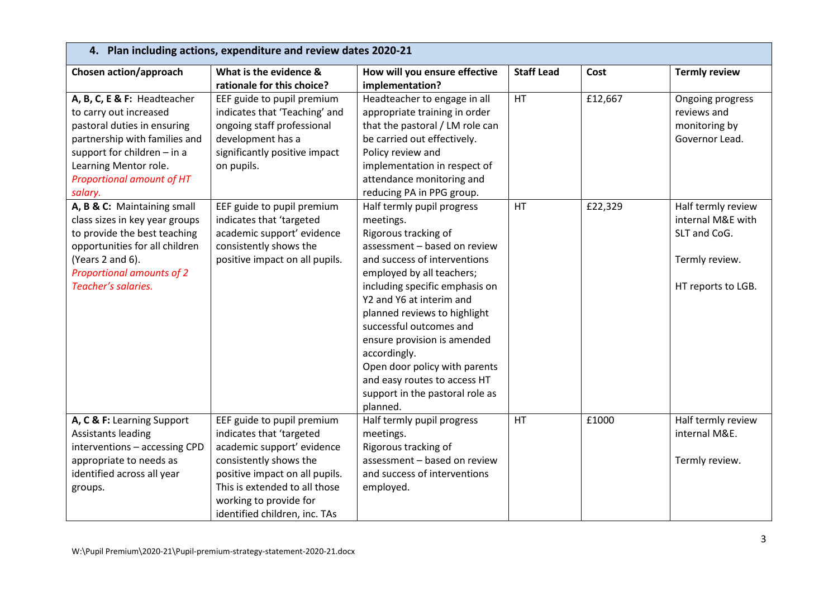| 4. Plan including actions, expenditure and review dates 2020-21 |                                |                                 |                   |         |                      |
|-----------------------------------------------------------------|--------------------------------|---------------------------------|-------------------|---------|----------------------|
| Chosen action/approach                                          | What is the evidence &         | How will you ensure effective   | <b>Staff Lead</b> | Cost    | <b>Termly review</b> |
|                                                                 | rationale for this choice?     | implementation?                 |                   |         |                      |
| A, B, C, E & F: Headteacher                                     | EEF guide to pupil premium     | Headteacher to engage in all    | <b>HT</b>         | £12,667 | Ongoing progress     |
| to carry out increased                                          | indicates that 'Teaching' and  | appropriate training in order   |                   |         | reviews and          |
| pastoral duties in ensuring                                     | ongoing staff professional     | that the pastoral / LM role can |                   |         | monitoring by        |
| partnership with families and                                   | development has a              | be carried out effectively.     |                   |         | Governor Lead.       |
| support for children $-$ in a                                   | significantly positive impact  | Policy review and               |                   |         |                      |
| Learning Mentor role.                                           | on pupils.                     | implementation in respect of    |                   |         |                      |
| Proportional amount of HT                                       |                                | attendance monitoring and       |                   |         |                      |
| salary.                                                         |                                | reducing PA in PPG group.       |                   |         |                      |
| A, B & C: Maintaining small                                     | EEF guide to pupil premium     | Half termly pupil progress      | HT                | £22,329 | Half termly review   |
| class sizes in key year groups                                  | indicates that 'targeted       | meetings.                       |                   |         | internal M&E with    |
| to provide the best teaching                                    | academic support' evidence     | Rigorous tracking of            |                   |         | SLT and CoG.         |
| opportunities for all children                                  | consistently shows the         | assessment - based on review    |                   |         |                      |
| (Years 2 and 6).                                                | positive impact on all pupils. | and success of interventions    |                   |         | Termly review.       |
| Proportional amounts of 2                                       |                                | employed by all teachers;       |                   |         |                      |
| Teacher's salaries.                                             |                                | including specific emphasis on  |                   |         | HT reports to LGB.   |
|                                                                 |                                | Y2 and Y6 at interim and        |                   |         |                      |
|                                                                 |                                | planned reviews to highlight    |                   |         |                      |
|                                                                 |                                | successful outcomes and         |                   |         |                      |
|                                                                 |                                | ensure provision is amended     |                   |         |                      |
|                                                                 |                                | accordingly.                    |                   |         |                      |
|                                                                 |                                | Open door policy with parents   |                   |         |                      |
|                                                                 |                                | and easy routes to access HT    |                   |         |                      |
|                                                                 |                                | support in the pastoral role as |                   |         |                      |
|                                                                 |                                | planned.                        |                   |         |                      |
| A, C & F: Learning Support                                      | EEF guide to pupil premium     | Half termly pupil progress      | HT                | £1000   | Half termly review   |
| <b>Assistants leading</b>                                       | indicates that 'targeted       | meetings.                       |                   |         | internal M&E.        |
| interventions - accessing CPD                                   | academic support' evidence     | Rigorous tracking of            |                   |         |                      |
| appropriate to needs as                                         | consistently shows the         | assessment - based on review    |                   |         | Termly review.       |
| identified across all year                                      | positive impact on all pupils. | and success of interventions    |                   |         |                      |
| groups.                                                         | This is extended to all those  | employed.                       |                   |         |                      |
|                                                                 | working to provide for         |                                 |                   |         |                      |
|                                                                 | identified children, inc. TAs  |                                 |                   |         |                      |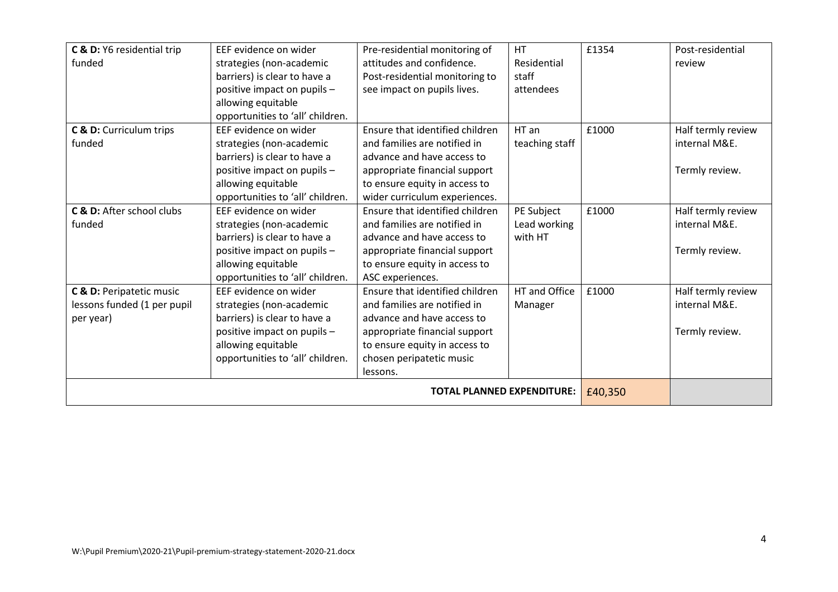| C & D: Y6 residential trip        | EEF evidence on wider            | Pre-residential monitoring of   | <b>HT</b>      | £1354   | Post-residential   |
|-----------------------------------|----------------------------------|---------------------------------|----------------|---------|--------------------|
| funded                            | strategies (non-academic         | attitudes and confidence.       | Residential    |         | review             |
|                                   | barriers) is clear to have a     | Post-residential monitoring to  | staff          |         |                    |
|                                   | positive impact on pupils -      | see impact on pupils lives.     | attendees      |         |                    |
|                                   | allowing equitable               |                                 |                |         |                    |
|                                   | opportunities to 'all' children. |                                 |                |         |                    |
| C & D: Curriculum trips           | EEF evidence on wider            | Ensure that identified children | HT an          | £1000   | Half termly review |
| funded                            | strategies (non-academic         | and families are notified in    | teaching staff |         | internal M&E.      |
|                                   | barriers) is clear to have a     | advance and have access to      |                |         |                    |
|                                   | positive impact on pupils -      | appropriate financial support   |                |         | Termly review.     |
|                                   | allowing equitable               | to ensure equity in access to   |                |         |                    |
|                                   | opportunities to 'all' children. | wider curriculum experiences.   |                |         |                    |
| C & D: After school clubs         | EEF evidence on wider            | Ensure that identified children | PE Subject     | £1000   | Half termly review |
| funded                            | strategies (non-academic         | and families are notified in    | Lead working   |         | internal M&E.      |
|                                   | barriers) is clear to have a     | advance and have access to      | with HT        |         |                    |
|                                   | positive impact on pupils -      | appropriate financial support   |                |         | Termly review.     |
|                                   | allowing equitable               | to ensure equity in access to   |                |         |                    |
|                                   | opportunities to 'all' children. | ASC experiences.                |                |         |                    |
| C & D: Peripatetic music          | EEF evidence on wider            | Ensure that identified children | HT and Office  | £1000   | Half termly review |
| lessons funded (1 per pupil       | strategies (non-academic         | and families are notified in    | Manager        |         | internal M&E.      |
| per year)                         | barriers) is clear to have a     | advance and have access to      |                |         |                    |
|                                   | positive impact on pupils -      | appropriate financial support   |                |         | Termly review.     |
|                                   | allowing equitable               | to ensure equity in access to   |                |         |                    |
|                                   | opportunities to 'all' children. | chosen peripatetic music        |                |         |                    |
|                                   |                                  | lessons.                        |                |         |                    |
| <b>TOTAL PLANNED EXPENDITURE:</b> |                                  |                                 |                | £40,350 |                    |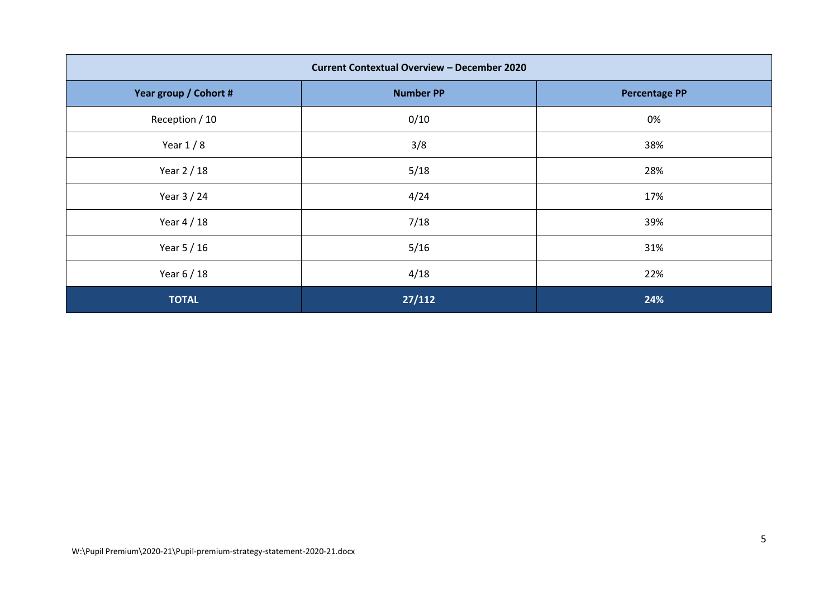| <b>Current Contextual Overview - December 2020</b> |                  |                      |  |  |
|----------------------------------------------------|------------------|----------------------|--|--|
| Year group / Cohort #                              | <b>Number PP</b> | <b>Percentage PP</b> |  |  |
| Reception / 10                                     | 0/10             | 0%                   |  |  |
| Year $1/8$                                         | 3/8              | 38%                  |  |  |
| Year 2 / 18                                        | 5/18             | 28%                  |  |  |
| Year 3 / 24                                        | 4/24             | 17%                  |  |  |
| Year 4 / 18                                        | 7/18             | 39%                  |  |  |
| Year 5 / 16                                        | 5/16             | 31%                  |  |  |
| Year 6 / 18                                        | 4/18             | 22%                  |  |  |
| <b>TOTAL</b>                                       | 27/112           | 24%                  |  |  |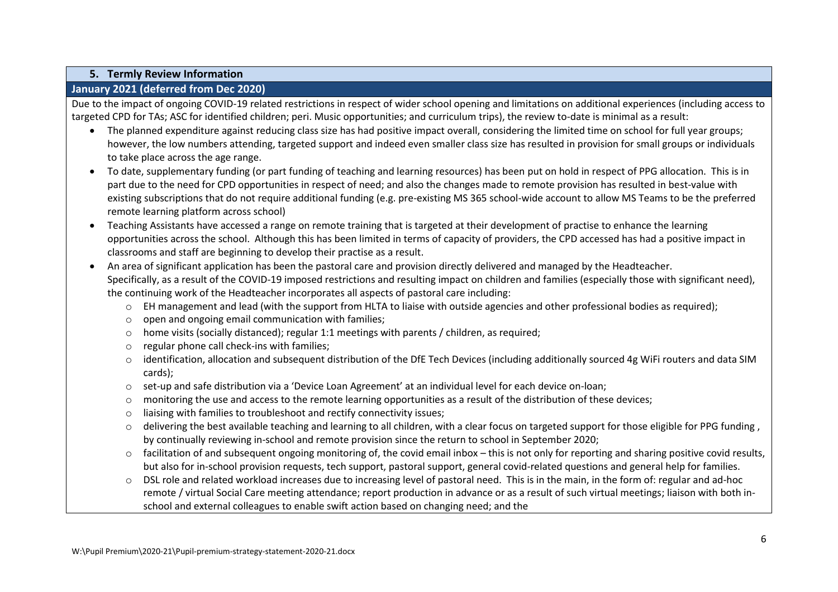## **5. Termly Review Information**

## **January 2021 (deferred from Dec 2020)**

Due to the impact of ongoing COVID-19 related restrictions in respect of wider school opening and limitations on additional experiences (including access to targeted CPD for TAs; ASC for identified children; peri. Music opportunities; and curriculum trips), the review to-date is minimal as a result:

- The planned expenditure against reducing class size has had positive impact overall, considering the limited time on school for full year groups; however, the low numbers attending, targeted support and indeed even smaller class size has resulted in provision for small groups or individuals to take place across the age range.
- To date, supplementary funding (or part funding of teaching and learning resources) has been put on hold in respect of PPG allocation. This is in part due to the need for CPD opportunities in respect of need; and also the changes made to remote provision has resulted in best-value with existing subscriptions that do not require additional funding (e.g. pre-existing MS 365 school-wide account to allow MS Teams to be the preferred remote learning platform across school)
- Teaching Assistants have accessed a range on remote training that is targeted at their development of practise to enhance the learning opportunities across the school. Although this has been limited in terms of capacity of providers, the CPD accessed has had a positive impact in classrooms and staff are beginning to develop their practise as a result.
- An area of significant application has been the pastoral care and provision directly delivered and managed by the Headteacher. Specifically, as a result of the COVID-19 imposed restrictions and resulting impact on children and families (especially those with significant need), the continuing work of the Headteacher incorporates all aspects of pastoral care including:
	- o EH management and lead (with the support from HLTA to liaise with outside agencies and other professional bodies as required);
	- o open and ongoing email communication with families;
	- $\circ$  home visits (socially distanced); regular 1:1 meetings with parents / children, as required;
	- o regular phone call check-ins with families;
	- o identification, allocation and subsequent distribution of the DfE Tech Devices (including additionally sourced 4g WiFi routers and data SIM cards);
	- o set-up and safe distribution via a 'Device Loan Agreement' at an individual level for each device on-loan;
	- $\circ$  monitoring the use and access to the remote learning opportunities as a result of the distribution of these devices;
	- o liaising with families to troubleshoot and rectify connectivity issues;
	- o delivering the best available teaching and learning to all children, with a clear focus on targeted support for those eligible for PPG funding , by continually reviewing in-school and remote provision since the return to school in September 2020;
	- $\circ$  facilitation of and subsequent ongoing monitoring of, the covid email inbox this is not only for reporting and sharing positive covid results, but also for in-school provision requests, tech support, pastoral support, general covid-related questions and general help for families.

o DSL role and related workload increases due to increasing level of pastoral need. This is in the main, in the form of: regular and ad-hoc remote / virtual Social Care meeting attendance; report production in advance or as a result of such virtual meetings; liaison with both inschool and external colleagues to enable swift action based on changing need; and the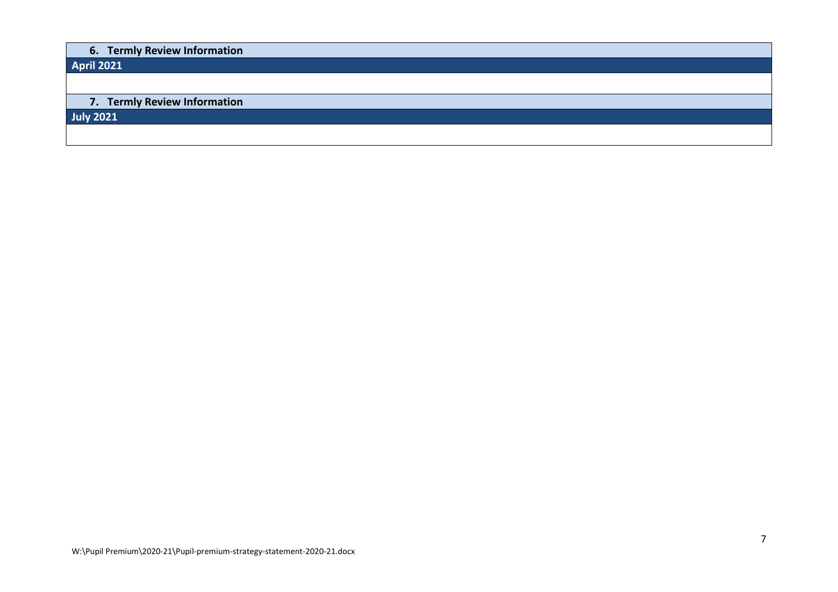| 6. Termly Review Information |
|------------------------------|
| <b>April 2021</b>            |
|                              |
|                              |
| 7. Termly Review Information |
| <b>July 2021</b>             |
|                              |
|                              |